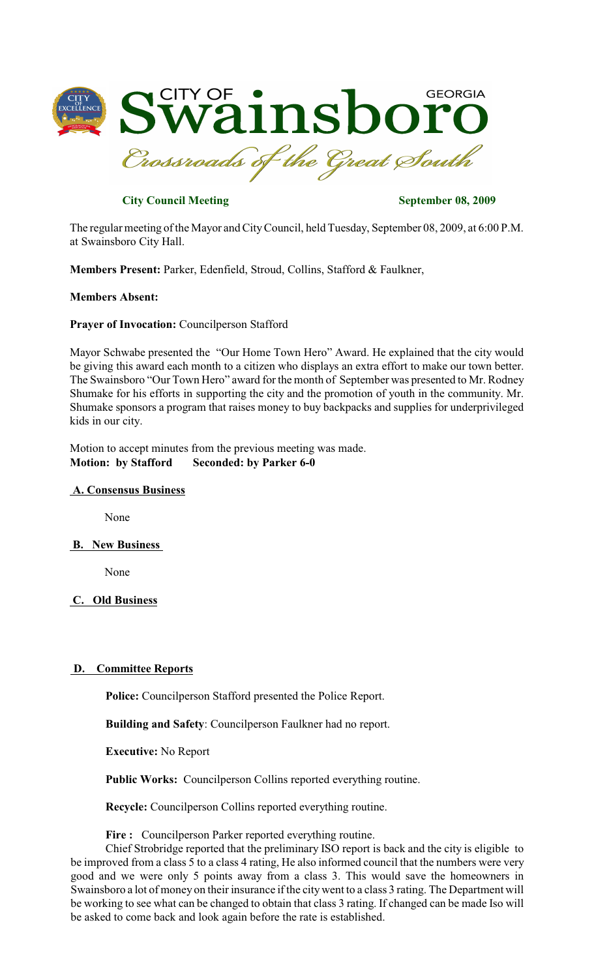

# **City Council Meeting September 08, 2009**

The regular meeting of the Mayor and CityCouncil, held Tuesday, September 08, 2009, at 6:00 P.M. at Swainsboro City Hall.

**Members Present:** Parker, Edenfield, Stroud, Collins, Stafford & Faulkner,

## **Members Absent:**

## **Prayer of Invocation:** Councilperson Stafford

Mayor Schwabe presented the "Our Home Town Hero" Award. He explained that the city would be giving this award each month to a citizen who displays an extra effort to make our town better. The Swainsboro "Our Town Hero" award for the month of September was presented to Mr. Rodney Shumake for his efforts in supporting the city and the promotion of youth in the community. Mr. Shumake sponsors a program that raises money to buy backpacks and supplies for underprivileged kids in our city.

Motion to accept minutes from the previous meeting was made. **Motion: by Stafford Seconded: by Parker 6-0**

#### **A. Consensus Business**

None

## **B. New Business**

None

# **C. Old Business**

## **D. Committee Reports**

**Police:** Councilperson Stafford presented the Police Report.

**Building and Safety**: Councilperson Faulkner had no report.

**Executive:** No Report

**Public Works:** Councilperson Collins reported everything routine.

**Recycle:** Councilperson Collins reported everything routine.

### **Fire :** Councilperson Parker reported everything routine.

Chief Strobridge reported that the preliminary ISO report is back and the city is eligible to be improved from a class 5 to a class 4 rating, He also informed council that the numbers were very good and we were only 5 points away from a class 3. This would save the homeowners in Swainsboro a lot of money on their insurance if the citywent to a class 3 rating. The Department will be working to see what can be changed to obtain that class 3 rating. If changed can be made Iso will be asked to come back and look again before the rate is established.